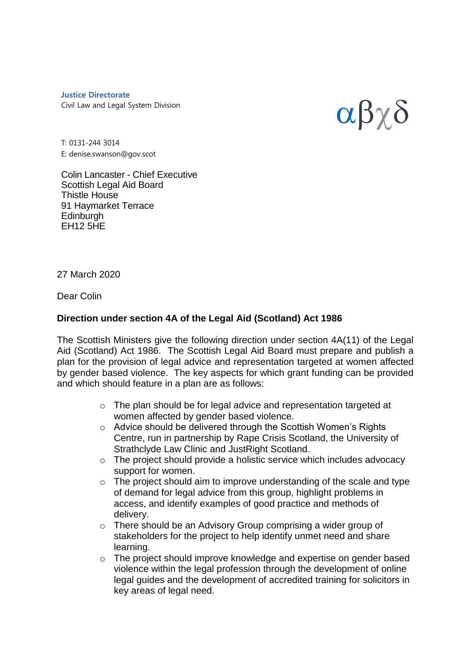**Justice Directorate** Civil Law and Legal System Division



T: 0131-244 3014 E: denise.swanson@gov.scot

Colin Lancaster - Chief Executive Scottish Legal Aid Board Thistle House 91 Haymarket Terrace **Edinburgh** EH12 5HE

## 27 March 2020

Dear Colin

## **Direction under section 4A of the Legal Aid (Scotland) Act 1986**

The Scottish Ministers give the following direction under section 4A(11) of the Legal Aid (Scotland) Act 1986. The Scottish Legal Aid Board must prepare and publish a plan for the provision of legal advice and representation targeted at women affected by gender based violence. The key aspects for which grant funding can be provided and which should feature in a plan are as follows:

- o The plan should be for legal advice and representation targeted at women affected by gender based violence.
- o Advice should be delivered through the Scottish Women's Rights Centre, run in partnership by Rape Crisis Scotland, the University of Strathclyde Law Clinic and JustRight Scotland.
- o The project should provide a holistic service which includes advocacy support for women.
- $\circ$  The project should aim to improve understanding of the scale and type of demand for legal advice from this group, highlight problems in access, and identify examples of good practice and methods of delivery.
- o There should be an Advisory Group comprising a wider group of stakeholders for the project to help identify unmet need and share learning.
- o The project should improve knowledge and expertise on gender based violence within the legal profession through the development of online legal guides and the development of accredited training for solicitors in key areas of legal need.